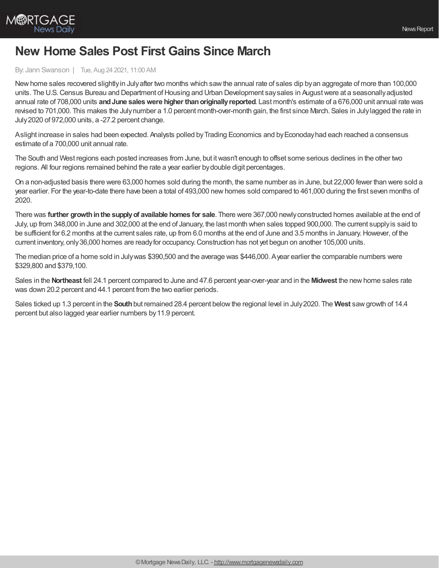

## **New Home Sales Post First Gains Since March**

## By: Jann Swanson | Tue, Aug 24 2021, 11:00 AM

Newhome sales recovered slightlyin Julyafter two months which sawthe annual rate of sales dip byan aggregate of more than 100,000 units. The U.S. Census Bureau and Department of Housing and Urban Development say sales in August were at a seasonally adjusted annual rate of 708,000 units **andJune saleswere higher thanoriginallyreported**. Last month's estimate of a 676,000 unit annual rate was revised to 701,000. This makes the Julynumber a 1.0 percent month-over-month gain, the first since March. Sales in Julylagged the rate in July2020 of 972,000 units, a -27.2 percent change.

Aslight increase in sales had been expected. Analysts polled by Trading Economics and by Econoday had each reached a consensus estimate of a 700,000 unit annual rate.

The South and West regions each posted increases from June, but itwasn't enough to offset some serious declines in the other two regions. All four regions remained behind the rate a year earlier bydouble digit percentages.

On a non-adjusted basis there were 63,000 homes sold during the month, the same number as in June, but 22,000 fewer than were sold a year earlier. For the year-to-date there have been a total of 493,000 newhomes sold compared to 461,000 during the first seven months of 2020.

There was **further growthinthe supplyof available homes for sale**. There were 367,000 newlyconstructed homes available at the end of July, up from 348,000 in June and 302,000 at the end of January, the last month when sales topped 900,000. The current supplyis said to be sufficient for 6.2 months at the current sales rate, up from 6.0 months at the end of June and 3.5 months in January. However, of the current inventory, only 36,000 homes are ready for occupancy. Construction has not yet begun on another 105,000 units.

The median price of a home sold in Julywas \$390,500 and the average was \$446,000. Ayear earlier the comparable numbers were \$329,800 and \$379,100.

Sales in the **Northeast** fell 24.1 percent compared to June and 47.6 percent year-over-year and in the **Midwest** the newhome sales rate was down 20.2 percent and 44.1 percent from the two earlier periods.

Sales ticked up 1.3 percent in the **South**but remained 28.4 percent belowthe regional level in July2020. The **West** sawgrowth of 14.4 percent but also lagged year earlier numbers by11.9 percent.